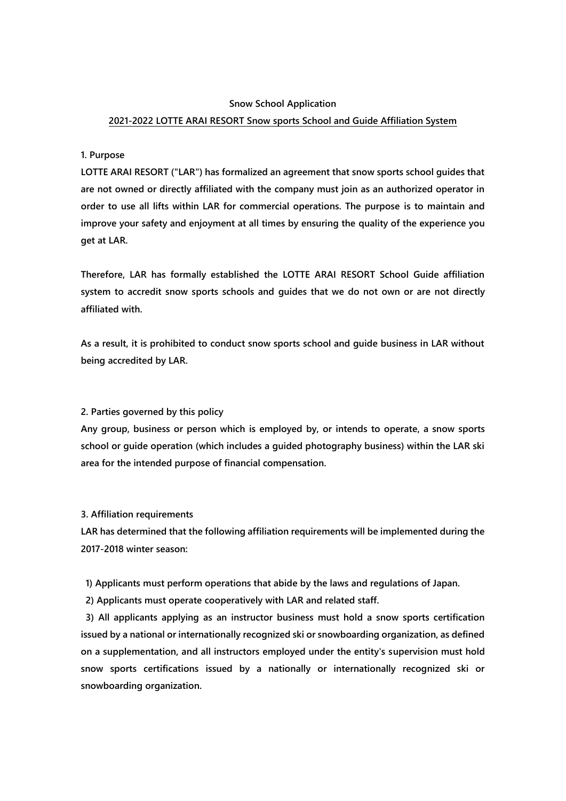### **Snow School Application**

# **2021-2022 LOTTE ARAI RESORT Snow sports School and Guide Affiliation System**

## **1. Purpose**

**LOTTE ARAI RESORT ("LAR") has formalized an agreement that snow sports school guides that are not owned or directly affiliated with the company must join as an authorized operator in order to use all lifts within LAR for commercial operations. The purpose is to maintain and improve your safety and enjoyment at all times by ensuring the quality of the experience you get at LAR.**

**Therefore, LAR has formally established the LOTTE ARAI RESORT School Guide affiliation system to accredit snow sports schools and guides that we do not own or are not directly affiliated with.**

**As a result, it is prohibited to conduct snow sports school and guide business in LAR without being accredited by LAR.**

### **2. Parties governed by this policy**

**Any group, business or person which is employed by, or intends to operate, a snow sports school or guide operation (which includes a guided photography business) within the LAR ski area for the intended purpose of financial compensation.** 

#### **3. Affiliation requirements**

**LAR has determined that the following affiliation requirements will be implemented during the 2017-2018 winter season:**

**1) Applicants must perform operations that abide by the laws and regulations of Japan.**

**2) Applicants must operate cooperatively with LAR and related staff.**

**3) All applicants applying as an instructor business must hold a snow sports certification issued by a national or internationally recognized ski or snowboarding organization, as defined on a supplementation, and all instructors employed under the entity's supervision must hold snow sports certifications issued by a nationally or internationally recognized ski or snowboarding organization.**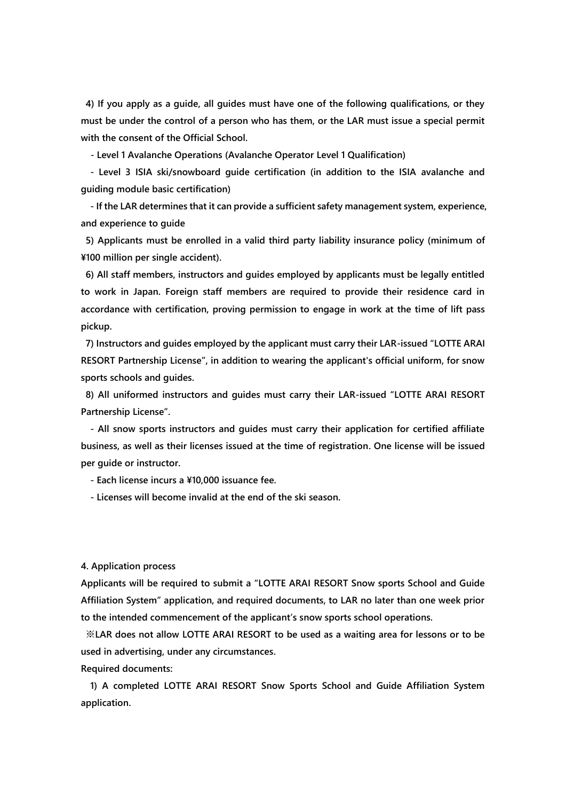**4) If you apply as a guide, all guides must have one of the following qualifications, or they must be under the control of a person who has them, or the LAR must issue a special permit with the consent of the Official School.**

**- Level 1 Avalanche Operations (Avalanche Operator Level 1 Qualification)**

**- Level 3 ISIA ski/snowboard guide certification (in addition to the ISIA avalanche and guiding module basic certification)**

**- If the LAR determines that it can provide a sufficient safety management system, experience, and experience to guide**

**5) Applicants must be enrolled in a valid third party liability insurance policy (minimum of ¥100 million per single accident).**

**6) All staff members, instructors and guides employed by applicants must be legally entitled to work in Japan. Foreign staff members are required to provide their residence card in accordance with certification, proving permission to engage in work at the time of lift pass pickup.** 

**7) Instructors and guides employed by the applicant must carry their LAR-issued "LOTTE ARAI RESORT Partnership License", in addition to wearing the applicant's official uniform, for snow sports schools and guides.**

**8) All uniformed instructors and guides must carry their LAR-issued "LOTTE ARAI RESORT Partnership License".**

**- All snow sports instructors and guides must carry their application for certified affiliate business, as well as their licenses issued at the time of registration. One license will be issued per guide or instructor.**

**- Each license incurs a ¥10,000 issuance fee.**

**- Licenses will become invalid at the end of the ski season.** 

**4. Application process**

**Applicants will be required to submit a "LOTTE ARAI RESORT Snow sports School and Guide Affiliation System" application, and required documents, to LAR no later than one week prior to the intended commencement of the applicant's snow sports school operations.** 

**※LAR does not allow LOTTE ARAI RESORT to be used as a waiting area for lessons or to be used in advertising, under any circumstances.**

**Required documents:**

**1) A completed LOTTE ARAI RESORT Snow Sports School and Guide Affiliation System application.**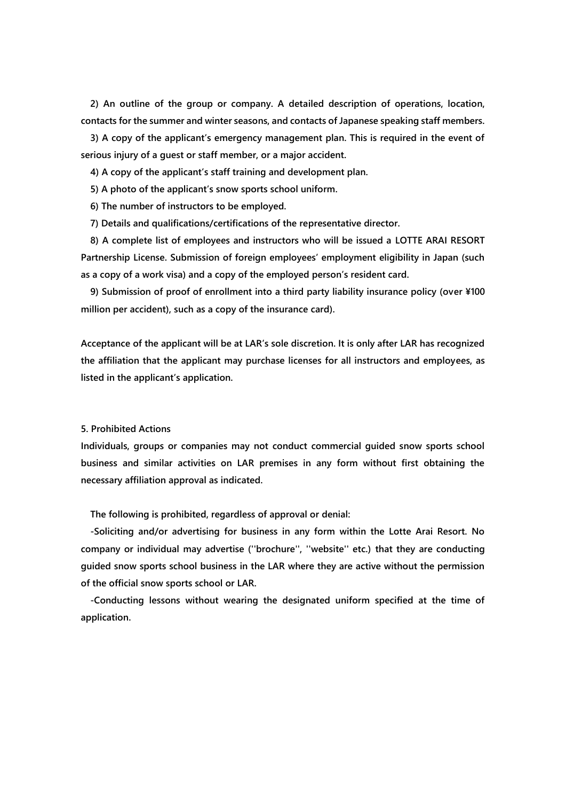**2) An outline of the group or company. A detailed description of operations, location, contacts for the summer and winter seasons, and contacts of Japanese speaking staff members.**

**3) A copy of the applicant's emergency management plan. This is required in the event of serious injury of a guest or staff member, or a major accident.**

**4) A copy of the applicant's staff training and development plan.**

**5) A photo of the applicant's snow sports school uniform.** 

**6) The number of instructors to be employed.**

**7) Details and qualifications/certifications of the representative director.**

**8) A complete list of employees and instructors who will be issued a LOTTE ARAI RESORT Partnership License. Submission of foreign employees' employment eligibility in Japan (such as a copy of a work visa) and a copy of the employed person's resident card.**

**9) Submission of proof of enrollment into a third party liability insurance policy (over ¥100 million per accident), such as a copy of the insurance card).**

**Acceptance of the applicant will be at LAR's sole discretion. It is only after LAR has recognized the affiliation that the applicant may purchase licenses for all instructors and employees, as listed in the applicant's application.** 

**5. Prohibited Actions**

**Individuals, groups or companies may not conduct commercial guided snow sports school business and similar activities on LAR premises in any form without first obtaining the necessary affiliation approval as indicated.**

**The following is prohibited, regardless of approval or denial:**

**-Soliciting and/or advertising for business in any form within the Lotte Arai Resort. No company or individual may advertise (''brochure'', ''website'' etc.) that they are conducting guided snow sports school business in the LAR where they are active without the permission of the official snow sports school or LAR.**

**-Conducting lessons without wearing the designated uniform specified at the time of application.**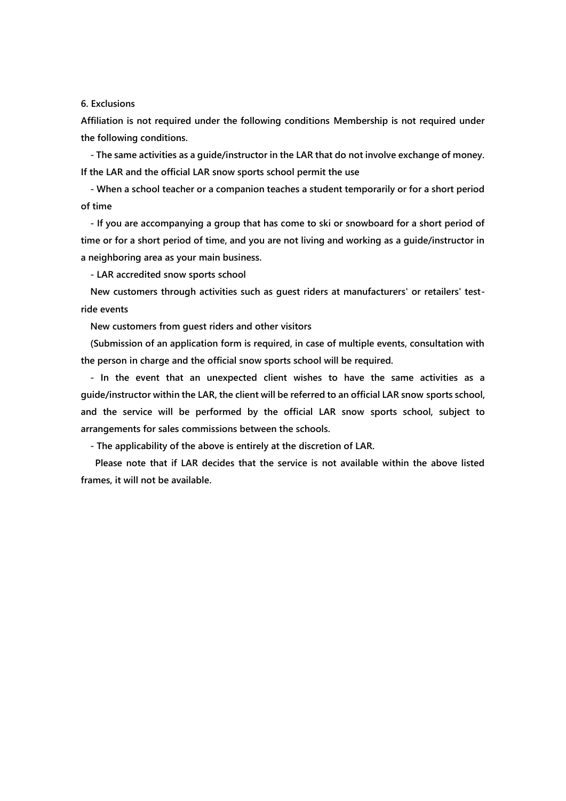## **6. Exclusions**

**Affiliation is not required under the following conditions Membership is not required under the following conditions.**

**- The same activities as a guide/instructor in the LAR that do not involve exchange of money. If the LAR and the official LAR snow sports school permit the use**

**- When a school teacher or a companion teaches a student temporarily or for a short period of time** 

**- If you are accompanying a group that has come to ski or snowboard for a short period of time or for a short period of time, and you are not living and working as a guide/instructor in a neighboring area as your main business.**

**- LAR accredited snow sports school** 

**New customers through activities such as guest riders at manufacturers' or retailers' testride events**

**New customers from guest riders and other visitors**

**(Submission of an application form is required, in case of multiple events, consultation with the person in charge and the official snow sports school will be required.**

**- In the event that an unexpected client wishes to have the same activities as a guide/instructor within the LAR, the client will be referred to an official LAR snow sports school, and the service will be performed by the official LAR snow sports school, subject to arrangements for sales commissions between the schools.**

**- The applicability of the above is entirely at the discretion of LAR.**

**Please note that if LAR decides that the service is not available within the above listed frames, it will not be available.**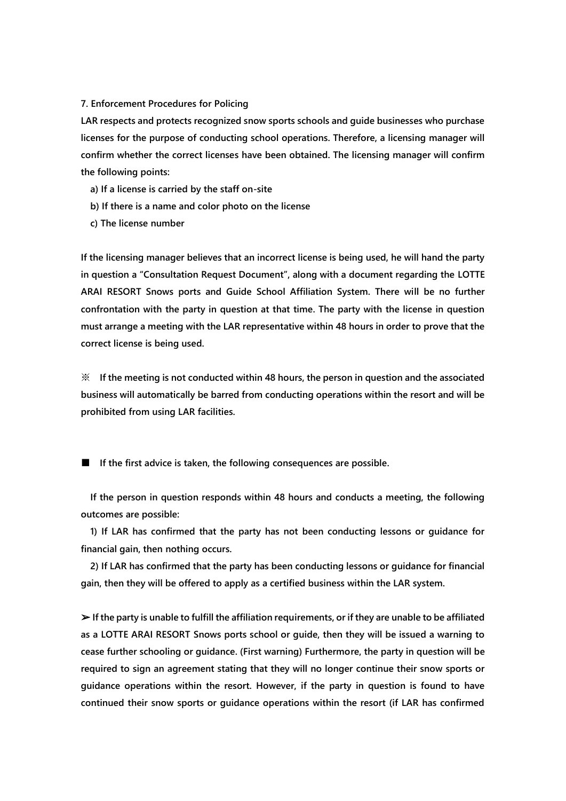## **7. Enforcement Procedures for Policing**

**LAR respects and protects recognized snow sports schools and guide businesses who purchase licenses for the purpose of conducting school operations. Therefore, a licensing manager will confirm whether the correct licenses have been obtained. The licensing manager will confirm the following points:**

- **a) If a license is carried by the staff on-site**
- **b) If there is a name and color photo on the license**
- **c) The license number**

**If the licensing manager believes that an incorrect license is being used, he will hand the party in question a "Consultation Request Document", along with a document regarding the LOTTE ARAI RESORT Snows ports and Guide School Affiliation System. There will be no further confrontation with the party in question at that time. The party with the license in question must arrange a meeting with the LAR representative within 48 hours in order to prove that the correct license is being used.** 

**※ If the meeting is not conducted within 48 hours, the person in question and the associated business will automatically be barred from conducting operations within the resort and will be prohibited from using LAR facilities.**

■ **If the first advice is taken, the following consequences are possible.** 

**If the person in question responds within 48 hours and conducts a meeting, the following outcomes are possible:**

**1) If LAR has confirmed that the party has not been conducting lessons or guidance for financial gain, then nothing occurs.**

**2) If LAR has confirmed that the party has been conducting lessons or guidance for financial gain, then they will be offered to apply as a certified business within the LAR system.** 

➢ **If the party is unable to fulfill the affiliation requirements, or if they are unable to be affiliated as a LOTTE ARAI RESORT Snows ports school or guide, then they will be issued a warning to cease further schooling or guidance. (First warning) Furthermore, the party in question will be required to sign an agreement stating that they will no longer continue their snow sports or guidance operations within the resort. However, if the party in question is found to have continued their snow sports or guidance operations within the resort (if LAR has confirmed**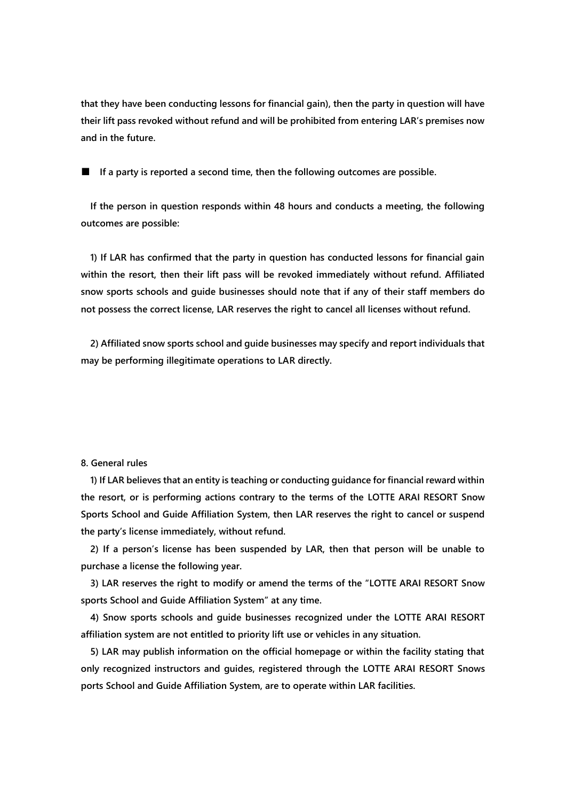**that they have been conducting lessons for financial gain), then the party in question will have their lift pass revoked without refund and will be prohibited from entering LAR's premises now and in the future.**

■ **If a party is reported a second time, then the following outcomes are possible.** 

**If the person in question responds within 48 hours and conducts a meeting, the following outcomes are possible:** 

**1) If LAR has confirmed that the party in question has conducted lessons for financial gain within the resort, then their lift pass will be revoked immediately without refund. Affiliated snow sports schools and guide businesses should note that if any of their staff members do not possess the correct license, LAR reserves the right to cancel all licenses without refund.**

**2) Affiliated snow sports school and guide businesses may specify and report individuals that may be performing illegitimate operations to LAR directly.** 

# **8. General rules**

**1) If LAR believes that an entity is teaching or conducting guidance for financial reward within the resort, or is performing actions contrary to the terms of the LOTTE ARAI RESORT Snow Sports School and Guide Affiliation System, then LAR reserves the right to cancel or suspend the party's license immediately, without refund.**

**2) If a person's license has been suspended by LAR, then that person will be unable to purchase a license the following year.**

**3) LAR reserves the right to modify or amend the terms of the "LOTTE ARAI RESORT Snow sports School and Guide Affiliation System" at any time.**

**4) Snow sports schools and guide businesses recognized under the LOTTE ARAI RESORT affiliation system are not entitled to priority lift use or vehicles in any situation.** 

**5) LAR may publish information on the official homepage or within the facility stating that only recognized instructors and guides, registered through the LOTTE ARAI RESORT Snows ports School and Guide Affiliation System, are to operate within LAR facilities.**